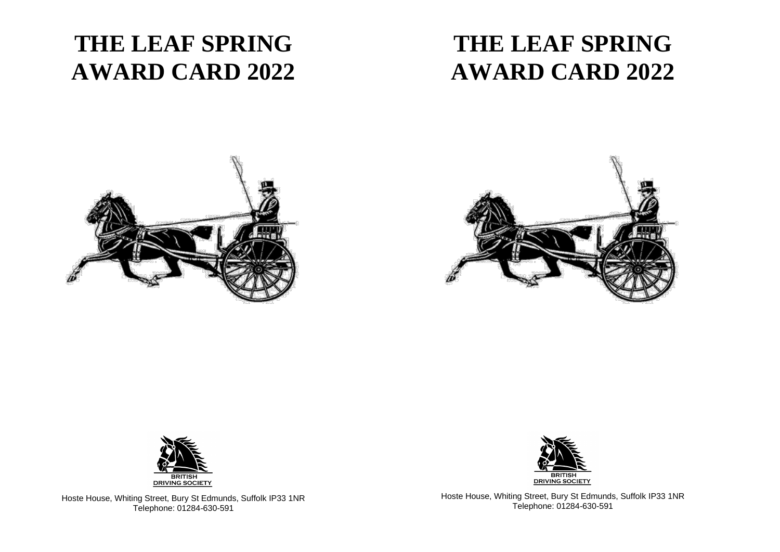## **THE LEAF SPRING AWARD CARD 2022**

## **THE LEAF SPRING AWARD CARD 2022**







Hoste House, Whiting Street, Bury St Edmunds, Suffolk IP33 1NR Telephone: 01284-630-591

Hoste House, Whiting Street, Bury St Edmunds, Suffolk IP33 1NR Telephone: 01284-630-591

BRITISH<br>DRIVING SOCIETY